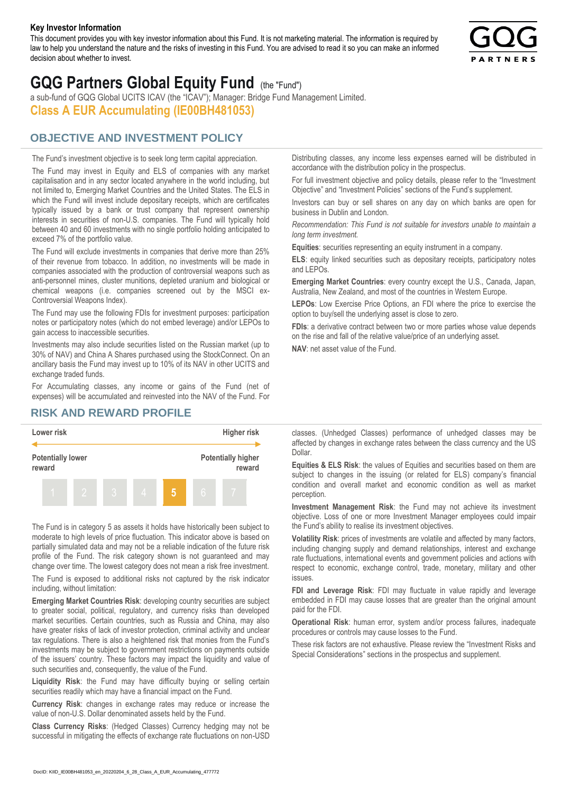#### **Key Investor Information**

This document provides you with key investor information about this Fund. It is not marketing material. The information is required by law to help you understand the nature and the risks of investing in this Fund. You are advised to read it so you can make an informed decision about whether to invest.



# **GQG Partners Global Equity Fund** (the "Fund")

a sub-fund of GQG Global UCITS ICAV (the "ICAV"); Manager: Bridge Fund Management Limited. **Class A EUR Accumulating (IE00BH481053)**

### **OBJECTIVE AND INVESTMENT POLICY**

The Fund's investment objective is to seek long term capital appreciation. The Fund may invest in Equity and ELS of companies with any market capitalisation and in any sector located anywhere in the world including, but not limited to, Emerging Market Countries and the United States. The ELS in which the Fund will invest include depositary receipts, which are certificates typically issued by a bank or trust company that represent ownership interests in securities of non-U.S. companies. The Fund will typically hold between 40 and 60 investments with no single portfolio holding anticipated to exceed 7% of the portfolio value.

The Fund will exclude investments in companies that derive more than 25% of their revenue from tobacco. In addition, no investments will be made in companies associated with the production of controversial weapons such as anti-personnel mines, cluster munitions, depleted uranium and biological or chemical weapons (i.e. companies screened out by the MSCI ex-Controversial Weapons Index).

The Fund may use the following FDIs for investment purposes: participation notes or participatory notes (which do not embed leverage) and/or LEPOs to gain access to inaccessible securities.

Investments may also include securities listed on the Russian market (up to 30% of NAV) and China A Shares purchased using the StockConnect. On an ancillary basis the Fund may invest up to 10% of its NAV in other UCITS and exchange traded funds.

For Accumulating classes, any income or gains of the Fund (net of expenses) will be accumulated and reinvested into the NAV of the Fund. For Distributing classes, any income less expenses earned will be distributed in accordance with the distribution policy in the prospectus.

For full investment objective and policy details, please refer to the "Investment Objective" and "Investment Policies" sections of the Fund's supplement.

Investors can buy or sell shares on any day on which banks are open for business in Dublin and London.

*Recommendation: This Fund is not suitable for investors unable to maintain a long term investment.*

**Equities**: securities representing an equity instrument in a company.

**ELS**: equity linked securities such as depositary receipts, participatory notes and LEPOs.

**Emerging Market Countries**: every country except the U.S., Canada, Japan, Australia, New Zealand, and most of the countries in Western Europe.

**LEPOs**: Low Exercise Price Options, an FDI where the price to exercise the option to buy/sell the underlying asset is close to zero.

**FDIs**: a derivative contract between two or more parties whose value depends on the rise and fall of the relative value/price of an underlying asset.

**NAV**: net asset value of the Fund.

#### **RISK AND REWARD PROFILE**



The Fund is in category 5 as assets it holds have historically been subject to moderate to high levels of price fluctuation. This indicator above is based on partially simulated data and may not be a reliable indication of the future risk profile of the Fund. The risk category shown is not guaranteed and may change over time. The lowest category does not mean a risk free investment.

The Fund is exposed to additional risks not captured by the risk indicator including, without limitation:

**Emerging Market Countries Risk**: developing country securities are subject to greater social, political, regulatory, and currency risks than developed market securities. Certain countries, such as Russia and China, may also have greater risks of lack of investor protection, criminal activity and unclear tax regulations. There is also a heightened risk that monies from the Fund's investments may be subject to government restrictions on payments outside of the issuers' country. These factors may impact the liquidity and value of such securities and, consequently, the value of the Fund.

**Liquidity Risk**: the Fund may have difficulty buying or selling certain securities readily which may have a financial impact on the Fund.

**Currency Risk**: changes in exchange rates may reduce or increase the value of non-U.S. Dollar denominated assets held by the Fund.

**Class Currency Risks**: (Hedged Classes) Currency hedging may not be successful in mitigating the effects of exchange rate fluctuations on non-USD classes. (Unhedged Classes) performance of unhedged classes may be affected by changes in exchange rates between the class currency and the US Dollar.

**Equities & ELS Risk**: the values of Equities and securities based on them are subject to changes in the issuing (or related for ELS) company's financial condition and overall market and economic condition as well as market perception.

**Investment Management Risk**: the Fund may not achieve its investment objective. Loss of one or more Investment Manager employees could impair the Fund's ability to realise its investment objectives.

**Volatility Risk**: prices of investments are volatile and affected by many factors, including changing supply and demand relationships, interest and exchange rate fluctuations, international events and government policies and actions with respect to economic, exchange control, trade, monetary, military and other issues.

**FDI and Leverage Risk**: FDI may fluctuate in value rapidly and leverage embedded in FDI may cause losses that are greater than the original amount paid for the FDI.

**Operational Risk**: human error, system and/or process failures, inadequate procedures or controls may cause losses to the Fund.

These risk factors are not exhaustive. Please review the "Investment Risks and Special Considerations" sections in the prospectus and supplement.